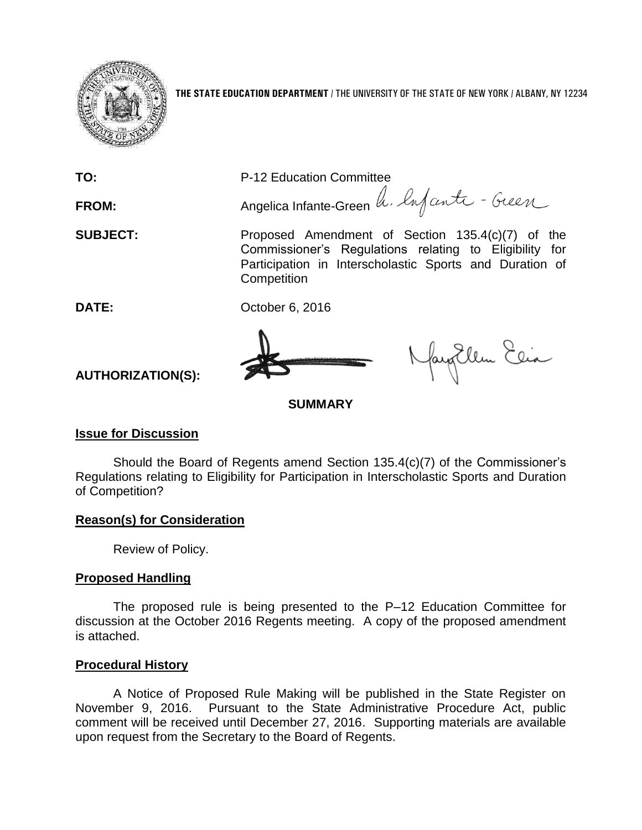

**THE STATE EDUCATION DEPARTMENT** / THE UNIVERSITY OF THE STATE OF NEW YORK / ALBANY, NY 12234

**TO:** P-12 Education Committee FROM: Angelica Infante-Green h. lufante - Geen **SUBJECT:** Proposed Amendment of Section 135.4(c)(7) of the Commissioner's Regulations relating to Eligibility for Participation in Interscholastic Sports and Duration of **Competition DATE:** October 6, 2016 fayEllen Elia

# **AUTHORIZATION(S):**

**SUMMARY**

## **Issue for Discussion**

Should the Board of Regents amend Section 135.4(c)(7) of the Commissioner's Regulations relating to Eligibility for Participation in Interscholastic Sports and Duration of Competition?

### **Reason(s) for Consideration**

Review of Policy.

## **Proposed Handling**

The proposed rule is being presented to the P–12 Education Committee for discussion at the October 2016 Regents meeting. A copy of the proposed amendment is attached.

### **Procedural History**

A Notice of Proposed Rule Making will be published in the State Register on November 9, 2016. Pursuant to the State Administrative Procedure Act, public comment will be received until December 27, 2016. Supporting materials are available upon request from the Secretary to the Board of Regents.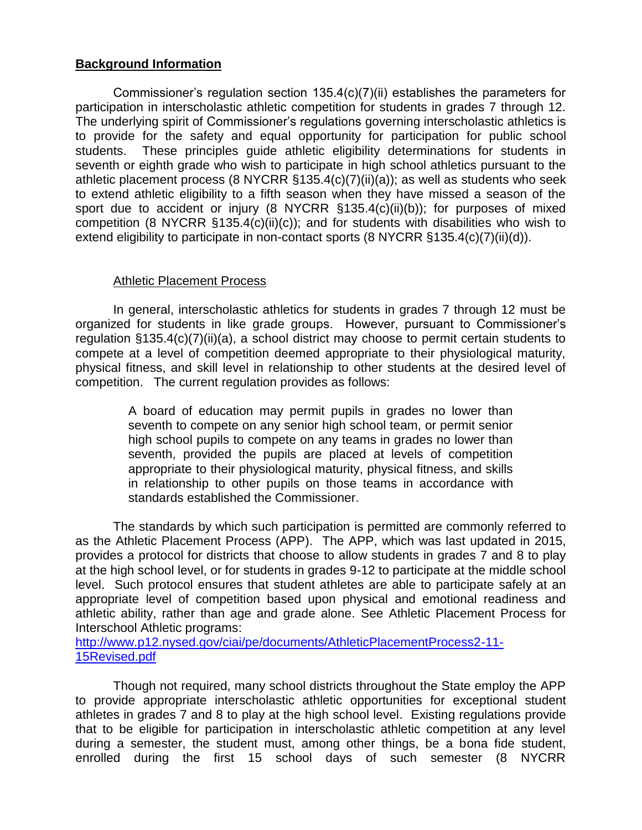## **Background Information**

Commissioner's regulation section 135.4(c)(7)(ii) establishes the parameters for participation in interscholastic athletic competition for students in grades 7 through 12. The underlying spirit of Commissioner's regulations governing interscholastic athletics is to provide for the safety and equal opportunity for participation for public school students. These principles guide athletic eligibility determinations for students in seventh or eighth grade who wish to participate in high school athletics pursuant to the athletic placement process (8 NYCRR §135.4(c)(7)(ii)(a)); as well as students who seek to extend athletic eligibility to a fifth season when they have missed a season of the sport due to accident or injury (8 NYCRR §135.4(c)(ii)(b)); for purposes of mixed competition (8 NYCRR §135.4(c)(ii)(c)); and for students with disabilities who wish to extend eligibility to participate in non-contact sports (8 NYCRR §135.4(c)(7)(ii)(d)).

# Athletic Placement Process

In general, interscholastic athletics for students in grades 7 through 12 must be organized for students in like grade groups. However, pursuant to Commissioner's regulation §135.4(c)(7)(ii)(a), a school district may choose to permit certain students to compete at a level of competition deemed appropriate to their physiological maturity, physical fitness, and skill level in relationship to other students at the desired level of competition. The current regulation provides as follows:

> A board of education may permit pupils in grades no lower than seventh to compete on any senior high school team, or permit senior high school pupils to compete on any teams in grades no lower than seventh, provided the pupils are placed at levels of competition appropriate to their physiological maturity, physical fitness, and skills in relationship to other pupils on those teams in accordance with standards established the Commissioner.

The standards by which such participation is permitted are commonly referred to as the Athletic Placement Process (APP). The APP, which was last updated in 2015, provides a protocol for districts that choose to allow students in grades 7 and 8 to play at the high school level, or for students in grades 9-12 to participate at the middle school level. Such protocol ensures that student athletes are able to participate safely at an appropriate level of competition based upon physical and emotional readiness and athletic ability, rather than age and grade alone. See Athletic Placement Process for Interschool Athletic programs:

[http://www.p12.nysed.gov/ciai/pe/documents/AthleticPlacementProcess2-11-](http://www.p12.nysed.gov/ciai/pe/documents/AthleticPlacementProcess2-11-15Revised.pdf) [15Revised.pdf](http://www.p12.nysed.gov/ciai/pe/documents/AthleticPlacementProcess2-11-15Revised.pdf)

Though not required, many school districts throughout the State employ the APP to provide appropriate interscholastic athletic opportunities for exceptional student athletes in grades 7 and 8 to play at the high school level. Existing regulations provide that to be eligible for participation in interscholastic athletic competition at any level during a semester, the student must, among other things, be a bona fide student, enrolled during the first 15 school days of such semester (8 NYCRR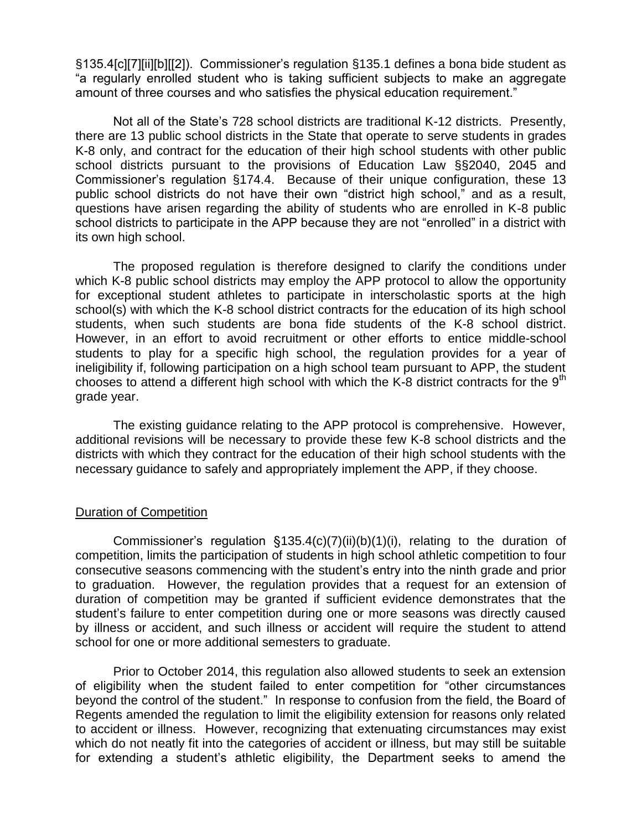§135.4[c][7][ii][b][[2]). Commissioner's regulation §135.1 defines a bona bide student as "a regularly enrolled student who is taking sufficient subjects to make an aggregate amount of three courses and who satisfies the physical education requirement."

Not all of the State's 728 school districts are traditional K-12 districts. Presently, there are 13 public school districts in the State that operate to serve students in grades K-8 only, and contract for the education of their high school students with other public school districts pursuant to the provisions of Education Law §§2040, 2045 and Commissioner's regulation §174.4. Because of their unique configuration, these 13 public school districts do not have their own "district high school," and as a result, questions have arisen regarding the ability of students who are enrolled in K-8 public school districts to participate in the APP because they are not "enrolled" in a district with its own high school.

The proposed regulation is therefore designed to clarify the conditions under which K-8 public school districts may employ the APP protocol to allow the opportunity for exceptional student athletes to participate in interscholastic sports at the high school(s) with which the K-8 school district contracts for the education of its high school students, when such students are bona fide students of the K-8 school district. However, in an effort to avoid recruitment or other efforts to entice middle-school students to play for a specific high school, the regulation provides for a year of ineligibility if, following participation on a high school team pursuant to APP, the student chooses to attend a different high school with which the K-8 district contracts for the  $9<sup>th</sup>$ grade year.

The existing guidance relating to the APP protocol is comprehensive. However, additional revisions will be necessary to provide these few K-8 school districts and the districts with which they contract for the education of their high school students with the necessary guidance to safely and appropriately implement the APP, if they choose.

### Duration of Competition

Commissioner's regulation §135.4(c)(7)(ii)(b)(1)(i), relating to the duration of competition, limits the participation of students in high school athletic competition to four consecutive seasons commencing with the student's entry into the ninth grade and prior to graduation. However, the regulation provides that a request for an extension of duration of competition may be granted if sufficient evidence demonstrates that the student's failure to enter competition during one or more seasons was directly caused by illness or accident, and such illness or accident will require the student to attend school for one or more additional semesters to graduate.

Prior to October 2014, this regulation also allowed students to seek an extension of eligibility when the student failed to enter competition for "other circumstances beyond the control of the student." In response to confusion from the field, the Board of Regents amended the regulation to limit the eligibility extension for reasons only related to accident or illness. However, recognizing that extenuating circumstances may exist which do not neatly fit into the categories of accident or illness, but may still be suitable for extending a student's athletic eligibility, the Department seeks to amend the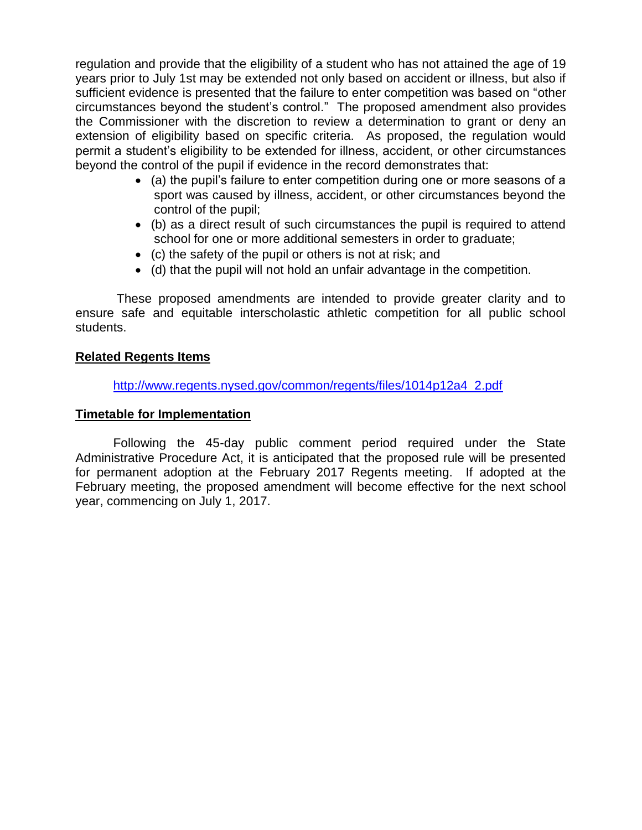regulation and provide that the eligibility of a student who has not attained the age of 19 years prior to July 1st may be extended not only based on accident or illness, but also if sufficient evidence is presented that the failure to enter competition was based on "other circumstances beyond the student's control." The proposed amendment also provides the Commissioner with the discretion to review a determination to grant or deny an extension of eligibility based on specific criteria. As proposed, the regulation would permit a student's eligibility to be extended for illness, accident, or other circumstances beyond the control of the pupil if evidence in the record demonstrates that:

- (a) the pupil's failure to enter competition during one or more seasons of a sport was caused by illness, accident, or other circumstances beyond the control of the pupil;
- (b) as a direct result of such circumstances the pupil is required to attend school for one or more additional semesters in order to graduate;
- (c) the safety of the pupil or others is not at risk; and
- $\bullet$  (d) that the pupil will not hold an unfair advantage in the competition.

These proposed amendments are intended to provide greater clarity and to ensure safe and equitable interscholastic athletic competition for all public school students.

# **Related Regents Items**

[http://www.regents.nysed.gov/common/regents/files/1014p12a4\\_2.pdf](http://www.regents.nysed.gov/common/regents/files/1014p12a4_2.pdf)

# **Timetable for Implementation**

Following the 45-day public comment period required under the State Administrative Procedure Act, it is anticipated that the proposed rule will be presented for permanent adoption at the February 2017 Regents meeting. If adopted at the February meeting, the proposed amendment will become effective for the next school year, commencing on July 1, 2017.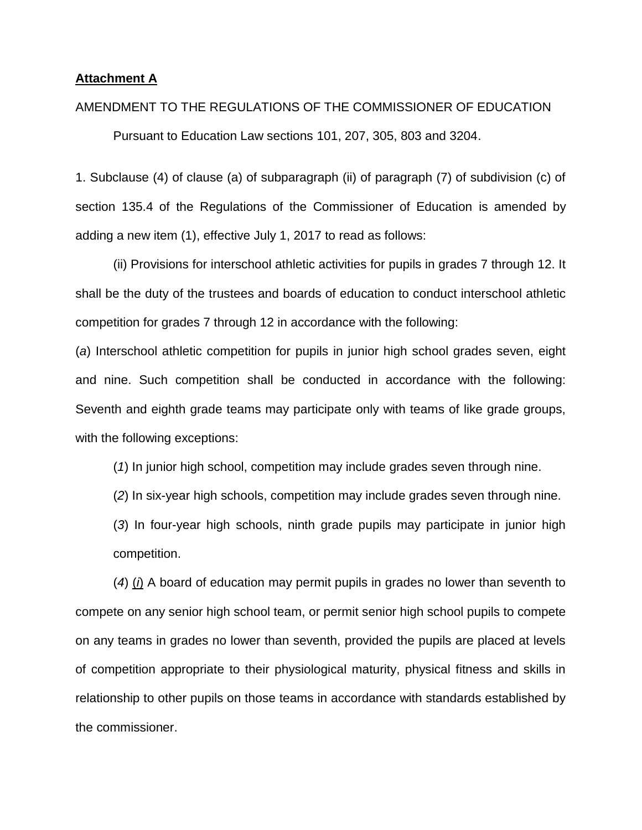#### **Attachment A**

#### AMENDMENT TO THE REGULATIONS OF THE COMMISSIONER OF EDUCATION

Pursuant to Education Law sections 101, 207, 305, 803 and 3204.

1. Subclause (4) of clause (a) of subparagraph (ii) of paragraph (7) of subdivision (c) of section 135.4 of the Regulations of the Commissioner of Education is amended by adding a new item (1), effective July 1, 2017 to read as follows:

(ii) Provisions for interschool athletic activities for pupils in grades 7 through 12. It shall be the duty of the trustees and boards of education to conduct interschool athletic competition for grades 7 through 12 in accordance with the following:

(*a*) Interschool athletic competition for pupils in junior high school grades seven, eight and nine. Such competition shall be conducted in accordance with the following: Seventh and eighth grade teams may participate only with teams of like grade groups, with the following exceptions:

(*1*) In junior high school, competition may include grades seven through nine.

(*2*) In six-year high schools, competition may include grades seven through nine.

(*3*) In four-year high schools, ninth grade pupils may participate in junior high competition.

(*4*) (*i*) A board of education may permit pupils in grades no lower than seventh to compete on any senior high school team, or permit senior high school pupils to compete on any teams in grades no lower than seventh, provided the pupils are placed at levels of competition appropriate to their physiological maturity, physical fitness and skills in relationship to other pupils on those teams in accordance with standards established by the commissioner.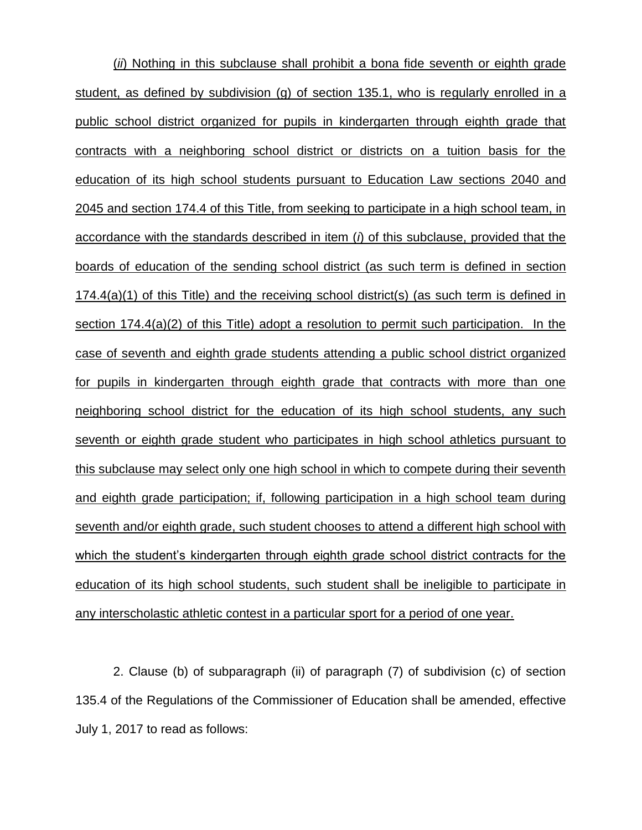(*ii*) Nothing in this subclause shall prohibit a bona fide seventh or eighth grade student, as defined by subdivision (g) of section 135.1, who is regularly enrolled in a public school district organized for pupils in kindergarten through eighth grade that contracts with a neighboring school district or districts on a tuition basis for the education of its high school students pursuant to Education Law sections 2040 and 2045 and section 174.4 of this Title, from seeking to participate in a high school team, in accordance with the standards described in item (*i*) of this subclause, provided that the boards of education of the sending school district (as such term is defined in section 174.4(a)(1) of this Title) and the receiving school district(s) (as such term is defined in section 174.4(a)(2) of this Title) adopt a resolution to permit such participation. In the case of seventh and eighth grade students attending a public school district organized for pupils in kindergarten through eighth grade that contracts with more than one neighboring school district for the education of its high school students, any such seventh or eighth grade student who participates in high school athletics pursuant to this subclause may select only one high school in which to compete during their seventh and eighth grade participation; if, following participation in a high school team during seventh and/or eighth grade, such student chooses to attend a different high school with which the student's kindergarten through eighth grade school district contracts for the education of its high school students, such student shall be ineligible to participate in any interscholastic athletic contest in a particular sport for a period of one year.

2. Clause (b) of subparagraph (ii) of paragraph (7) of subdivision (c) of section 135.4 of the Regulations of the Commissioner of Education shall be amended, effective July 1, 2017 to read as follows: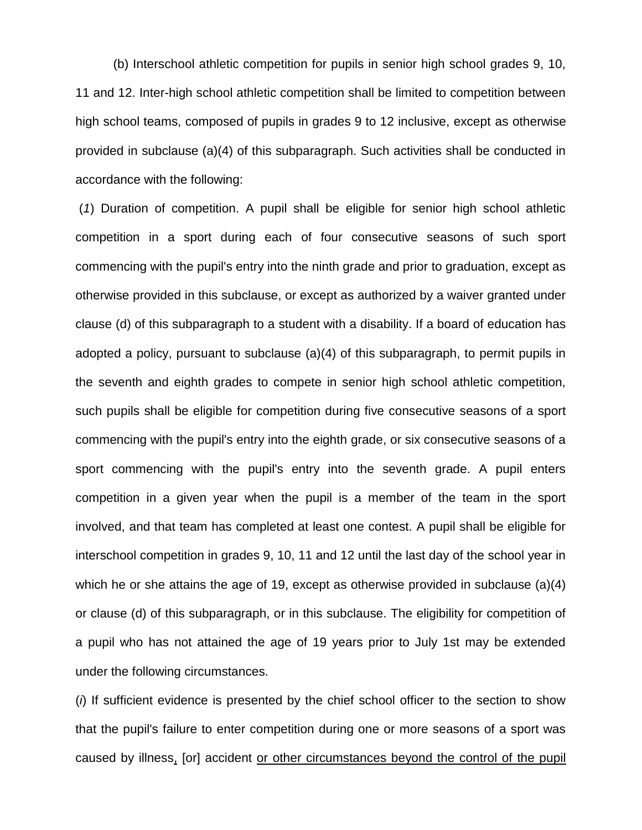(b) Interschool athletic competition for pupils in senior high school grades 9, 10, 11 and 12. Inter-high school athletic competition shall be limited to competition between high school teams, composed of pupils in grades 9 to 12 inclusive, except as otherwise provided in subclause (a)(4) of this subparagraph. Such activities shall be conducted in accordance with the following:

(*1*) Duration of competition. A pupil shall be eligible for senior high school athletic competition in a sport during each of four consecutive seasons of such sport commencing with the pupil's entry into the ninth grade and prior to graduation, except as otherwise provided in this subclause, or except as authorized by a waiver granted under clause (d) of this subparagraph to a student with a disability. If a board of education has adopted a policy, pursuant to subclause (a)(4) of this subparagraph, to permit pupils in the seventh and eighth grades to compete in senior high school athletic competition, such pupils shall be eligible for competition during five consecutive seasons of a sport commencing with the pupil's entry into the eighth grade, or six consecutive seasons of a sport commencing with the pupil's entry into the seventh grade. A pupil enters competition in a given year when the pupil is a member of the team in the sport involved, and that team has completed at least one contest. A pupil shall be eligible for interschool competition in grades 9, 10, 11 and 12 until the last day of the school year in which he or she attains the age of 19, except as otherwise provided in subclause (a)(4) or clause (d) of this subparagraph, or in this subclause. The eligibility for competition of a pupil who has not attained the age of 19 years prior to July 1st may be extended under the following circumstances.

(*i*) If sufficient evidence is presented by the chief school officer to the section to show that the pupil's failure to enter competition during one or more seasons of a sport was caused by illness, [or] accident or other circumstances beyond the control of the pupil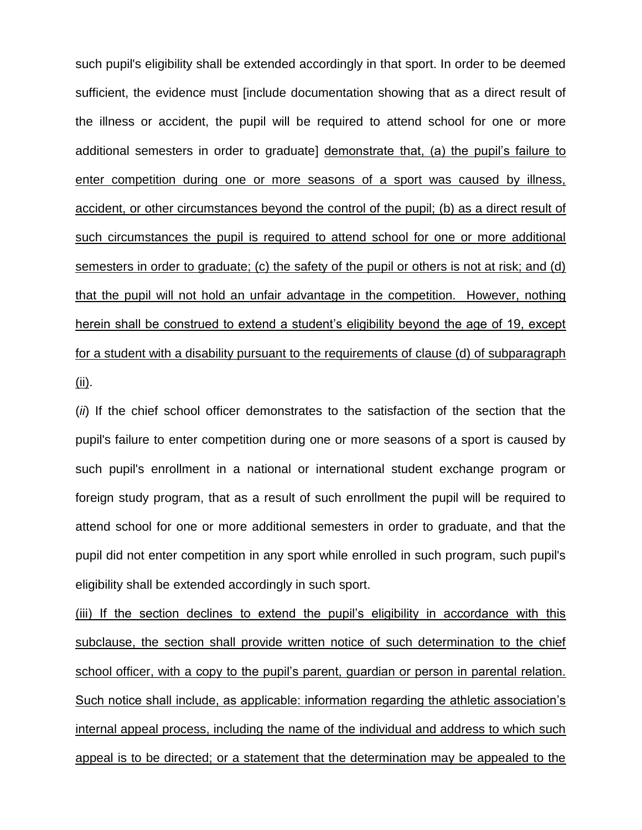such pupil's eligibility shall be extended accordingly in that sport. In order to be deemed sufficient, the evidence must [include documentation showing that as a direct result of the illness or accident, the pupil will be required to attend school for one or more additional semesters in order to graduate] demonstrate that, (a) the pupil's failure to enter competition during one or more seasons of a sport was caused by illness, accident, or other circumstances beyond the control of the pupil; (b) as a direct result of such circumstances the pupil is required to attend school for one or more additional semesters in order to graduate; (c) the safety of the pupil or others is not at risk; and (d) that the pupil will not hold an unfair advantage in the competition. However, nothing herein shall be construed to extend a student's eligibility beyond the age of 19, except for a student with a disability pursuant to the requirements of clause (d) of subparagraph (ii).

(*ii*) If the chief school officer demonstrates to the satisfaction of the section that the pupil's failure to enter competition during one or more seasons of a sport is caused by such pupil's enrollment in a national or international student exchange program or foreign study program, that as a result of such enrollment the pupil will be required to attend school for one or more additional semesters in order to graduate, and that the pupil did not enter competition in any sport while enrolled in such program, such pupil's eligibility shall be extended accordingly in such sport.

(iii) If the section declines to extend the pupil's eligibility in accordance with this subclause, the section shall provide written notice of such determination to the chief school officer, with a copy to the pupil's parent, guardian or person in parental relation. Such notice shall include, as applicable: information regarding the athletic association's internal appeal process, including the name of the individual and address to which such appeal is to be directed; or a statement that the determination may be appealed to the